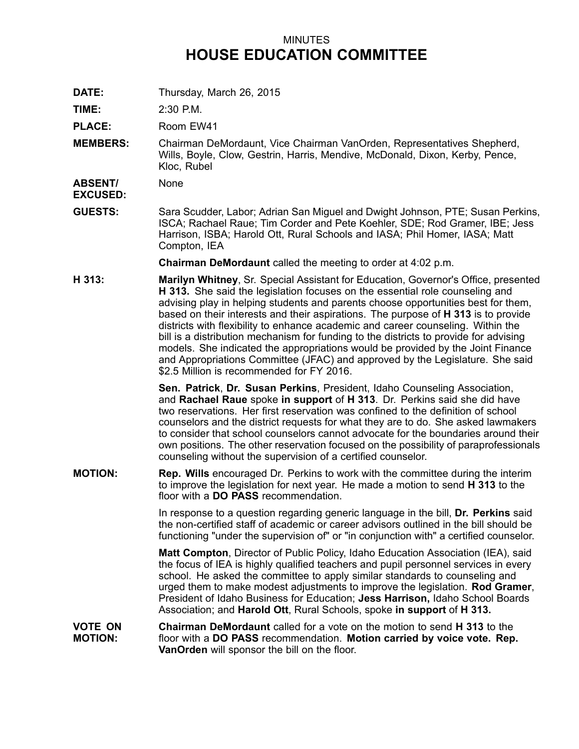## MINUTES **HOUSE EDUCATION COMMITTEE**

**DATE:** Thursday, March 26, 2015

**TIME:** 2:30 P.M.

PLACE: Room EW41

**MEMBERS:** Chairman DeMordaunt, Vice Chairman VanOrden, Representatives Shepherd, Wills, Boyle, Clow, Gestrin, Harris, Mendive, McDonald, Dixon, Kerby, Pence, Kloc, Rubel

**ABSENT/ EXCUSED:** None

**GUESTS:** Sara Scudder, Labor; Adrian San Miguel and Dwight Johnson, PTE; Susan Perkins, ISCA; Rachael Raue; Tim Corder and Pete Koehler, SDE; Rod Gramer, IBE; Jess Harrison, ISBA; Harold Ott, Rural Schools and IASA; Phil Homer, IASA; Matt Compton, IEA

**Chairman DeMordaunt** called the meeting to order at 4:02 p.m.

**H 313: Marilyn Whitney**, Sr. Special Assistant for Education, Governor's Office, presented **H 313.** She said the legislation focuses on the essential role counseling and advising play in helping students and parents choose opportunities best for them, based on their interests and their aspirations. The purpose of **H 313** is to provide districts with flexibility to enhance academic and career counseling. Within the bill is <sup>a</sup> distribution mechanism for funding to the districts to provide for advising models. She indicated the appropriations would be provided by the Joint Finance and Appropriations Committee (JFAC) and approved by the Legislature. She said \$2.5 Million is recommended for FY 2016.

> **Sen. Patrick**, **Dr. Susan Perkins**, President, Idaho Counseling Association, and **Rachael Raue** spoke **in support** of **H 313**. Dr. Perkins said she did have two reservations. Her first reservation was confined to the definition of school counselors and the district requests for what they are to do. She asked lawmakers to consider that school counselors cannot advocate for the boundaries around their own positions. The other reservation focused on the possibility of paraprofessionals counseling without the supervision of <sup>a</sup> certified counselor.

**MOTION: Rep. Wills** encouraged Dr. Perkins to work with the committee during the interim to improve the legislation for next year. He made <sup>a</sup> motion to send **H 313** to the floor with a **DO PASS** recommendation.

> In response to <sup>a</sup> question regarding generic language in the bill, **Dr. Perkins** said the non-certified staff of academic or career advisors outlined in the bill should be functioning "under the supervision of" or "in conjunction with" <sup>a</sup> certified counselor.

> **Matt Compton**, Director of Public Policy, Idaho Education Association (IEA), said the focus of IEA is highly qualified teachers and pupil personnel services in every school. He asked the committee to apply similar standards to counseling and urged them to make modest adjustments to improve the legislation. **Rod Gramer**, President of Idaho Business for Education; **Jess Harrison,** Idaho School Boards Association; and **Harold Ott**, Rural Schools, spoke **in support** of **H 313.**

**VOTE ON MOTION: Chairman DeMordaunt** called for a vote on the motion to send **H 313** to the floor with <sup>a</sup> **DO PASS** recommendation. **Motion carried by voice vote. Rep. VanOrden** will sponsor the bill on the floor.